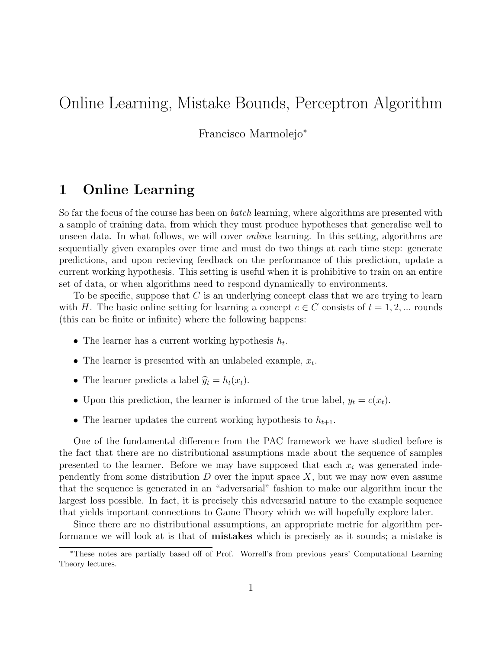# Online Learning, Mistake Bounds, Perceptron Algorithm

Francisco Marmolejo<sup>∗</sup>

## 1 Online Learning

So far the focus of the course has been on *batch* learning, where algorithms are presented with a sample of training data, from which they must produce hypotheses that generalise well to unseen data. In what follows, we will cover online learning. In this setting, algorithms are sequentially given examples over time and must do two things at each time step: generate predictions, and upon recieving feedback on the performance of this prediction, update a current working hypothesis. This setting is useful when it is prohibitive to train on an entire set of data, or when algorithms need to respond dynamically to environments.

To be specific, suppose that  $C$  is an underlying concept class that we are trying to learn with H. The basic online setting for learning a concept  $c \in C$  consists of  $t = 1, 2, ...$  rounds (this can be finite or infinite) where the following happens:

- The learner has a current working hypothesis  $h_t$ .
- The learner is presented with an unlabeled example,  $x_t$ .
- The learner predicts a label  $\hat{y}_t = h_t(x_t)$ .
- Upon this prediction, the learner is informed of the true label,  $y_t = c(x_t)$ .
- The learner updates the current working hypothesis to  $h_{t+1}$ .

One of the fundamental difference from the PAC framework we have studied before is the fact that there are no distributional assumptions made about the sequence of samples presented to the learner. Before we may have supposed that each  $x_i$  was generated independently from some distribution  $D$  over the input space  $X$ , but we may now even assume that the sequence is generated in an "adversarial" fashion to make our algorithm incur the largest loss possible. In fact, it is precisely this adversarial nature to the example sequence that yields important connections to Game Theory which we will hopefully explore later.

Since there are no distributional assumptions, an appropriate metric for algorithm performance we will look at is that of mistakes which is precisely as it sounds; a mistake is

<sup>∗</sup>These notes are partially based off of Prof. Worrell's from previous years' Computational Learning Theory lectures.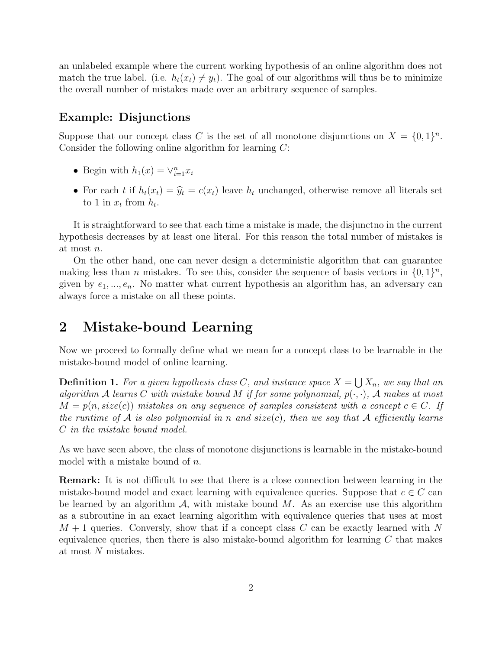an unlabeled example where the current working hypothesis of an online algorithm does not match the true label. (i.e.  $h_t(x_t) \neq y_t$ ). The goal of our algorithms will thus be to minimize the overall number of mistakes made over an arbitrary sequence of samples.

### Example: Disjunctions

Suppose that our concept class C is the set of all monotone disjunctions on  $X = \{0,1\}^n$ . Consider the following online algorithm for learning C:

- Begin with  $h_1(x) = \vee_{i=1}^n x_i$
- For each t if  $h_t(x_t) = \hat{y}_t = c(x_t)$  leave  $h_t$  unchanged, otherwise remove all literals set to 1 in  $x_t$  from  $h_t$ .

It is straightforward to see that each time a mistake is made, the disjunctno in the current hypothesis decreases by at least one literal. For this reason the total number of mistakes is at most n.

On the other hand, one can never design a deterministic algorithm that can guarantee making less than *n* mistakes. To see this, consider the sequence of basis vectors in  $\{0,1\}^n$ , given by  $e_1, ..., e_n$ . No matter what current hypothesis an algorithm has, an adversary can always force a mistake on all these points.

## 2 Mistake-bound Learning

Now we proceed to formally define what we mean for a concept class to be learnable in the mistake-bound model of online learning.

**Definition 1.** For a given hypothesis class C, and instance space  $X = \bigcup X_n$ , we say that an algorithm A learns C with mistake bound M if for some polynomial,  $p(\cdot, \cdot)$ , A makes at most  $M = p(n, size(c))$  mistakes on any sequence of samples consistent with a concept  $c \in C$ . If the runtime of A is also polynomial in n and size(c), then we say that A efficiently learns C in the mistake bound model.

As we have seen above, the class of monotone disjunctions is learnable in the mistake-bound model with a mistake bound of  $n$ .

Remark: It is not difficult to see that there is a close connection between learning in the mistake-bound model and exact learning with equivalence queries. Suppose that  $c \in C$  can be learned by an algorithm  $\mathcal{A}$ , with mistake bound  $M$ . As an exercise use this algorithm as a subroutine in an exact learning algorithm with equivalence queries that uses at most  $M + 1$  queries. Conversly, show that if a concept class C can be exactly learned with N equivalence queries, then there is also mistake-bound algorithm for learning  $C$  that makes at most N mistakes.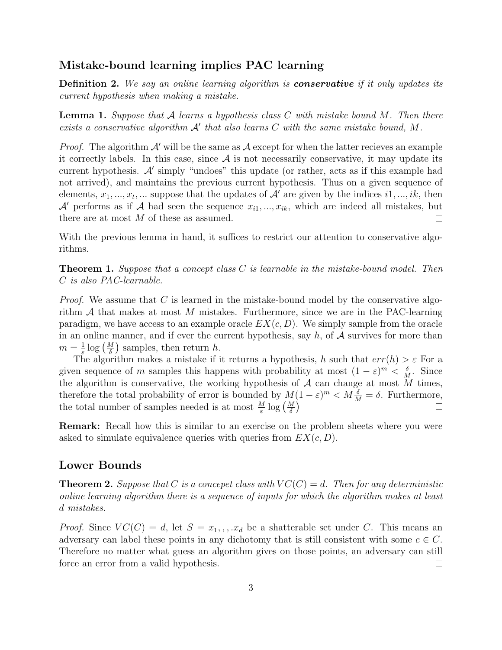## Mistake-bound learning implies PAC learning

Definition 2. We say an online learning algorithm is conservative if it only updates its current hypothesis when making a mistake.

**Lemma 1.** Suppose that A learns a hypothesis class C with mistake bound M. Then there exists a conservative algorithm  $A'$  that also learns  $C$  with the same mistake bound,  $M$ .

*Proof.* The algorithm  $\mathcal{A}'$  will be the same as  $\mathcal{A}$  except for when the latter recieves an example it correctly labels. In this case, since  $A$  is not necessarily conservative, it may update its current hypothesis.  $A'$  simply "undoes" this update (or rather, acts as if this example had not arrived), and maintains the previous current hypothesis. Thus on a given sequence of elements,  $x_1, ..., x_t, ...$  suppose that the updates of  $\mathcal{A}'$  are given by the indices  $i1, ..., i_k$ , then  $\mathcal{A}'$  performs as if  $\mathcal{A}$  had seen the sequence  $x_{i1},..., x_{ik}$ , which are indeed all mistakes, but there are at most M of these as assumed.  $\Box$ 

With the previous lemma in hand, it suffices to restrict our attention to conservative algorithms.

**Theorem 1.** Suppose that a concept class  $C$  is learnable in the mistake-bound model. Then C is also PAC-learnable.

*Proof.* We assume that  $C$  is learned in the mistake-bound model by the conservative algorithm  $A$  that makes at most  $M$  mistakes. Furthermore, since we are in the PAC-learning paradigm, we have access to an example oracle  $EX(c, D)$ . We simply sample from the oracle in an online manner, and if ever the current hypothesis, say  $h$ , of  $A$  survives for more than  $m=\frac{1}{\varepsilon}$  $\frac{1}{\varepsilon}$  log  $\left(\frac{M}{\delta}\right)$  samples, then return h.

The algorithm makes a mistake if it returns a hypothesis, h such that  $err(h) > \varepsilon$  For a given sequence of m samples this happens with probability at most  $(1 - \varepsilon)^m < \frac{\delta}{h}$  $\frac{\delta}{M}$ . Since the algorithm is conservative, the working hypothesis of  $A$  can change at most  $M$  times, therefore the total probability of error is bounded by  $M(1-\varepsilon)^m < M\frac{\delta}{M} = \delta$ . Furthermore, the total number of samples needed is at most  $\frac{M}{\varepsilon} \log \left( \frac{M}{\delta} \right)$ 

Remark: Recall how this is similar to an exercise on the problem sheets where you were asked to simulate equivalence queries with queries from  $EX(c, D)$ .

### Lower Bounds

**Theorem 2.** Suppose that C is a concept class with  $VC(C) = d$ . Then for any deterministic online learning algorithm there is a sequence of inputs for which the algorithm makes at least d mistakes.

*Proof.* Since  $VC(C) = d$ , let  $S = x_1, \ldots, x_d$  be a shatterable set under C. This means an adversary can label these points in any dichotomy that is still consistent with some  $c \in C$ . Therefore no matter what guess an algorithm gives on those points, an adversary can still force an error from a valid hypothesis.  $\Box$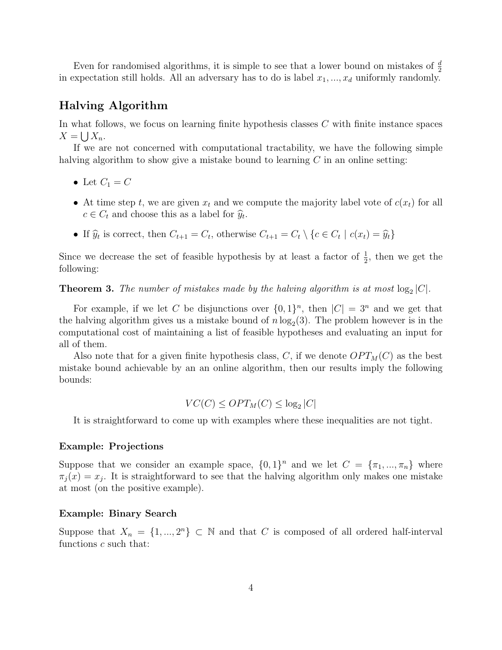Even for randomised algorithms, it is simple to see that a lower bound on mistakes of  $\frac{d}{2}$ in expectation still holds. All an adversary has to do is label  $x_1, \ldots, x_d$  uniformly randomly.

## Halving Algorithm

In what follows, we focus on learning finite hypothesis classes C with finite instance spaces  $X = \bigcup X_n$ .

If we are not concerned with computational tractability, we have the following simple halving algorithm to show give a mistake bound to learning  $C$  in an online setting:

- Let  $C_1 = C$
- At time step t, we are given  $x_t$  and we compute the majority label vote of  $c(x_t)$  for all  $c \in C_t$  and choose this as a label for  $\widehat{y}_t$ .
- If  $\hat{y}_t$  is correct, then  $C_{t+1} = C_t$ , otherwise  $C_{t+1} = C_t \setminus \{c \in C_t \mid c(x_t) = \hat{y}_t\}$

Since we decrease the set of feasible hypothesis by at least a factor of  $\frac{1}{2}$ , then we get the following:

**Theorem 3.** The number of mistakes made by the halving algorithm is at most  $log_2|C|$ .

For example, if we let C be disjunctions over  $\{0,1\}^n$ , then  $|C| = 3^n$  and we get that the halving algorithm gives us a mistake bound of  $n \log_2(3)$ . The problem however is in the computational cost of maintaining a list of feasible hypotheses and evaluating an input for all of them.

Also note that for a given finite hypothesis class, C, if we denote  $OPT_M(C)$  as the best mistake bound achievable by an an online algorithm, then our results imply the following bounds:

$$
VC(C) \le OPT_M(C) \le \log_2|C|
$$

It is straightforward to come up with examples where these inequalities are not tight.

#### Example: Projections

Suppose that we consider an example space,  $\{0,1\}^n$  and we let  $C = \{\pi_1, ..., \pi_n\}$  where  $\pi_j(x) = x_j$ . It is straightforward to see that the halving algorithm only makes one mistake at most (on the positive example).

#### Example: Binary Search

Suppose that  $X_n = \{1, ..., 2^n\} \subset \mathbb{N}$  and that C is composed of all ordered half-interval functions c such that: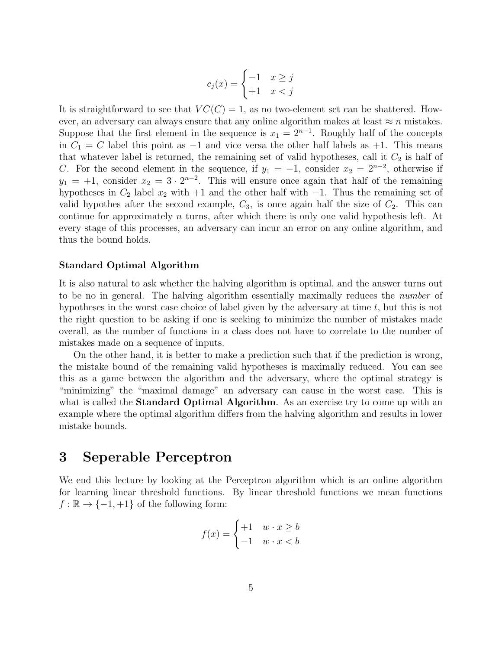$$
c_j(x) = \begin{cases} -1 & x \ge j \\ +1 & x < j \end{cases}
$$

It is straightforward to see that  $VC(C) = 1$ , as no two-element set can be shattered. However, an adversary can always ensure that any online algorithm makes at least  $\approx n$  mistakes. Suppose that the first element in the sequence is  $x_1 = 2^{n-1}$ . Roughly half of the concepts in  $C_1 = C$  label this point as  $-1$  and vice versa the other half labels as  $+1$ . This means that whatever label is returned, the remaining set of valid hypotheses, call it  $C_2$  is half of C. For the second element in the sequence, if  $y_1 = -1$ , consider  $x_2 = 2^{n-2}$ , otherwise if  $y_1 = +1$ , consider  $x_2 = 3 \cdot 2^{n-2}$ . This will ensure once again that half of the remaining hypotheses in  $C_2$  label  $x_2$  with  $+1$  and the other half with  $-1$ . Thus the remaining set of valid hypothes after the second example,  $C_3$ , is once again half the size of  $C_2$ . This can continue for approximately n turns, after which there is only one valid hypothesis left. At every stage of this processes, an adversary can incur an error on any online algorithm, and thus the bound holds.

#### Standard Optimal Algorithm

It is also natural to ask whether the halving algorithm is optimal, and the answer turns out to be no in general. The halving algorithm essentially maximally reduces the number of hypotheses in the worst case choice of label given by the adversary at time  $t$ , but this is not the right question to be asking if one is seeking to minimize the number of mistakes made overall, as the number of functions in a class does not have to correlate to the number of mistakes made on a sequence of inputs.

On the other hand, it is better to make a prediction such that if the prediction is wrong, the mistake bound of the remaining valid hypotheses is maximally reduced. You can see this as a game between the algorithm and the adversary, where the optimal strategy is "minimizing" the "maximal damage" an adversary can cause in the worst case. This is what is called the **Standard Optimal Algorithm**. As an exercise try to come up with an example where the optimal algorithm differs from the halving algorithm and results in lower mistake bounds.

## 3 Seperable Perceptron

We end this lecture by looking at the Perceptron algorithm which is an online algorithm for learning linear threshold functions. By linear threshold functions we mean functions  $f : \mathbb{R} \to \{-1, +1\}$  of the following form:

$$
f(x) = \begin{cases} +1 & w \cdot x \ge b \\ -1 & w \cdot x < b \end{cases}
$$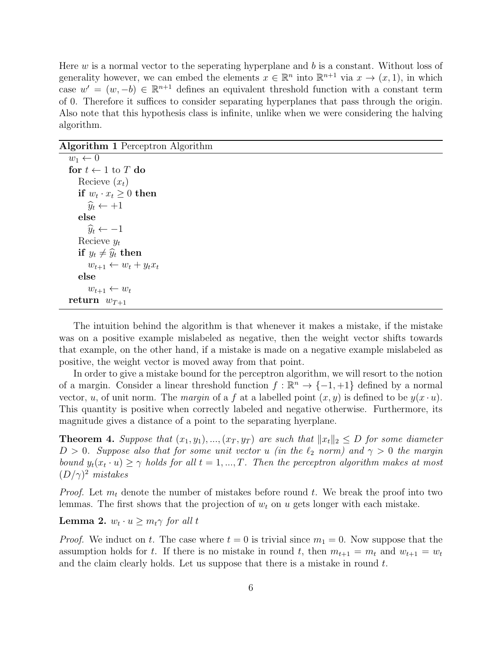Here  $w$  is a normal vector to the seperating hyperplane and  $b$  is a constant. Without loss of generality however, we can embed the elements  $x \in \mathbb{R}^n$  into  $\mathbb{R}^{n+1}$  via  $x \to (x, 1)$ , in which case  $w' = (w, -b) \in \mathbb{R}^{n+1}$  defines an equivalent threshold function with a constant term of 0. Therefore it suffices to consider separating hyperplanes that pass through the origin. Also note that this hypothesis class is infinite, unlike when we were considering the halving algorithm.

Algorithm 1 Perceptron Algorithm

| $w_1 \leftarrow 0$                 |
|------------------------------------|
| for $t \leftarrow 1$ to T do       |
| Recieve $(x_t)$                    |
| if $w_t \cdot x_t \geq 0$ then     |
| $\widehat{y}_t \leftarrow +1$      |
| else                               |
| $\widehat{y}_t \leftarrow -1$      |
| Recieve $y_t$                      |
| if $y_t \neq \hat{y}_t$ then       |
| $w_{t+1} \leftarrow w_t + y_t x_t$ |
| else                               |
| $w_{t+1} \leftarrow w_t$           |
| return $w_{T+1}$                   |

The intuition behind the algorithm is that whenever it makes a mistake, if the mistake was on a positive example mislabeled as negative, then the weight vector shifts towards that example, on the other hand, if a mistake is made on a negative example mislabeled as positive, the weight vector is moved away from that point.

In order to give a mistake bound for the perceptron algorithm, we will resort to the notion of a margin. Consider a linear threshold function  $f : \mathbb{R}^n \to \{-1, +1\}$  defined by a normal vector, u, of unit norm. The margin of a f at a labelled point  $(x, y)$  is defined to be  $y(x \cdot u)$ . This quantity is positive when correctly labeled and negative otherwise. Furthermore, its magnitude gives a distance of a point to the separating hyerplane.

**Theorem 4.** Suppose that  $(x_1, y_1), ..., (x_T, y_T)$  are such that  $||x_t||_2 \le D$  for some diameter  $D > 0$ . Suppose also that for some unit vector u (in the  $\ell_2$  norm) and  $\gamma > 0$  the margin bound  $y_t(x_t \cdot u) \geq \gamma$  holds for all  $t = 1, ..., T$ . Then the perceptron algorithm makes at most  $(D/\gamma)^2$  mistakes

*Proof.* Let  $m_t$  denote the number of mistakes before round t. We break the proof into two lemmas. The first shows that the projection of  $w_t$  on  $u$  gets longer with each mistake.

**Lemma 2.**  $w_t \cdot u \geq m_t \gamma$  for all t

*Proof.* We induct on t. The case where  $t = 0$  is trivial since  $m_1 = 0$ . Now suppose that the assumption holds for t. If there is no mistake in round t, then  $m_{t+1} = m_t$  and  $w_{t+1} = w_t$ and the claim clearly holds. Let us suppose that there is a mistake in round  $t$ .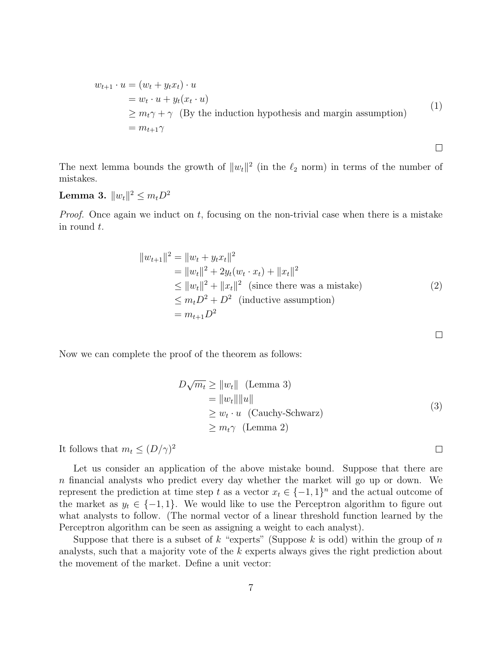$$
w_{t+1} \cdot u = (w_t + y_t x_t) \cdot u
$$
  
=  $w_t \cdot u + y_t (x_t \cdot u)$   
 $\ge m_t \gamma + \gamma$  (By the induction hypothesis and margin assumption)  
=  $m_{t+1} \gamma$  (1)

The next lemma bounds the growth of  $||w_t||^2$  (in the  $\ell_2$  norm) in terms of the number of mistakes.

## Lemma 3.  $\|w_t\|^2 \le m_t D^2$

*Proof.* Once again we induct on t, focusing on the non-trivial case when there is a mistake in round t.

$$
||w_{t+1}||^2 = ||w_t + y_t x_t||^2
$$
  
=  $||w_t||^2 + 2y_t (w_t \cdot x_t) + ||x_t||^2$   
 $\le ||w_t||^2 + ||x_t||^2$  (since there was a mistake)  
 $\le m_t D^2 + D^2$  (inductive assumption)  
=  $m_{t+1} D^2$ 

Now we can complete the proof of the theorem as follows:

$$
D\sqrt{m_t} \ge ||w_t|| \quad \text{(Lemma 3)}= ||w_t|| ||u||\ge w_t \cdot u \quad \text{(Cauchy-Schwarz)}\ge m_t \gamma \quad \text{(Lemma 2)}
$$
\n(3)

It follows that  $m_t \leq (D/\gamma)^2$ 

Let us consider an application of the above mistake bound. Suppose that there are n financial analysts who predict every day whether the market will go up or down. We represent the prediction at time step t as a vector  $x_t \in \{-1,1\}^n$  and the actual outcome of the market as  $y_t \in \{-1, 1\}$ . We would like to use the Perceptron algorithm to figure out what analysts to follow. (The normal vector of a linear threshold function learned by the Perceptron algorithm can be seen as assigning a weight to each analyst).

Suppose that there is a subset of k "experts" (Suppose k is odd) within the group of  $n$ analysts, such that a majority vote of the k experts always gives the right prediction about the movement of the market. Define a unit vector:

$$
\Box
$$

 $\Box$ 

 $\Box$